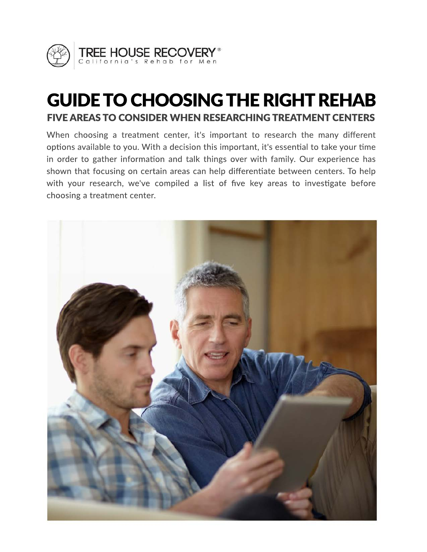

# GUIDE TO CHOOSING THE RIGHT REHAB FIVE AREAS TO CONSIDER WHEN RESEARCHING TREATMENT CENTERS

When choosing a treatment center, it's important to research the many different options available to you. With a decision this important, it's essential to take your time in order to gather information and talk things over with family. Our experience has shown that focusing on certain areas can help differentiate between centers. To help with your research, we've compiled a list of five key areas to investigate before choosing a treatment center.

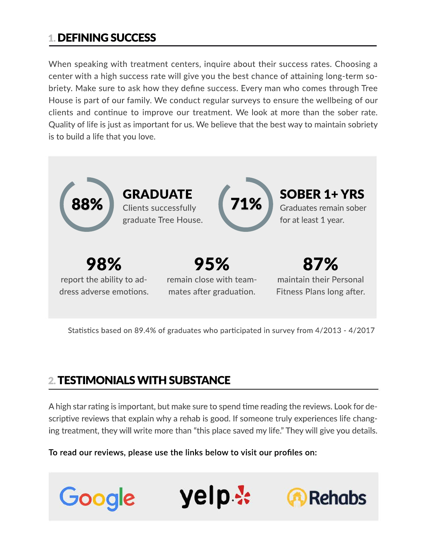### 1. DEFINING SUCCESS

When speaking with treatment centers, inquire about their success rates. Choosing a center with a high success rate will give you the best chance of attaining long-term sobriety. Make sure to ask how they define success. Every man who comes through Tree House is part of our family. We conduct regular surveys to ensure the wellbeing of our clients and continue to improve our treatment. We look at more than the sober rate. Quality of life is just as important for us. We believe that the best way to maintain sobriety is to build a life that you love.



Statistics based on 89.4% of graduates who participated in survey from 4/2013 - 4/2017

## 2. TESTIMONIALS WITH SUBSTANCE

A high star rating is important, but make sure to spend time reading the reviews. Look for descriptive reviews that explain why a rehab is good. If someone truly experiences life changing treatment, they will write more than "this place saved my life." They will give you details.

**To read our reviews, please use the links below to visit our profiles on:**

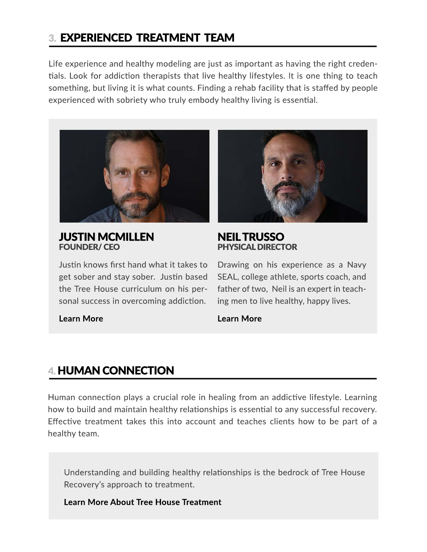### 3. EXPERIENCED TREATMENT TEAM

Life experience and healthy modeling are just as important as having the right credentials. Look for addiction therapists that live healthy lifestyles. It is one thing to teach something, but living it is what counts. Finding a rehab facility that is staffed by people experienced with sobriety who truly embody healthy living is essential.



JUSTIN MCMILLEN FOUNDER/ CEO

Justin knows first hand what it takes to get sober and stay sober. Justin based the Tree House curriculum on his personal success in overcoming addiction.



#### NEIL TRUSSO PHYSICAL DIRECTOR

Drawing on his experience as a Navy SEAL, college athlete, sports coach, and father of two, Neil is an expert in teaching men to live healthy, happy lives.

**[Learn More](https://treehouserecovery.com/justin-mcmillen/)**

#### **[Learn More](https://treehouserecovery.com/neil-trusso/)**

### 4. HUMAN CONNECTION

Human connection plays a crucial role in healing from an addictive lifestyle. Learning how to build and maintain healthy relationships is essential to any successful recovery. Effective treatment takes this into account and teaches clients how to be part of a healthy team.

Understanding and building healthy relationships is the bedrock of Tree House Recovery's approach to treatment.

**[Learn More About Tree House Treatment](https://treehouserecovery.com/holistic-drug-rehab/)**